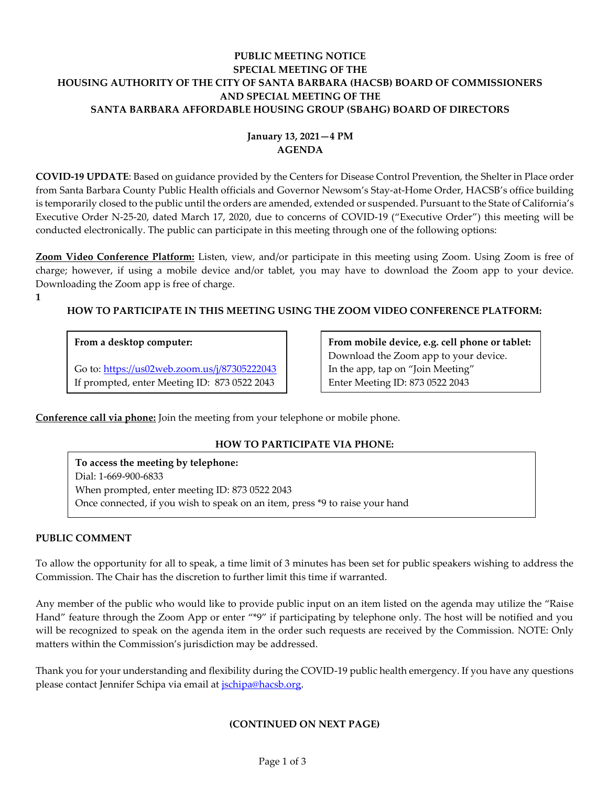## **PUBLIC MEETING NOTICE SPECIAL MEETING OF THE HOUSING AUTHORITY OF THE CITY OF SANTA BARBARA (HACSB) BOARD OF COMMISSIONERS AND SPECIAL MEETING OF THE SANTA BARBARA AFFORDABLE HOUSING GROUP (SBAHG) BOARD OF DIRECTORS**

# **January 13, 2021—4 PM AGENDA**

**COVID-19 UPDATE**: Based on guidance provided by the Centers for Disease Control Prevention, the Shelter in Place order from Santa Barbara County Public Health officials and Governor Newsom's Stay-at-Home Order, HACSB's office building is temporarily closed to the public until the orders are amended, extended or suspended. Pursuant to the State of California's Executive Order N-25-20, dated March 17, 2020, due to concerns of COVID-19 ("Executive Order") this meeting will be conducted electronically. The public can participate in this meeting through one of the following options:

**Zoom Video Conference Platform:** Listen, view, and/or participate in this meeting using Zoom. Using Zoom is free of charge; however, if using a mobile device and/or tablet, you may have to download the Zoom app to your device. Downloading the Zoom app is free of charge.

**1**

# **HOW TO PARTICIPATE IN THIS MEETING USING THE ZOOM VIDEO CONFERENCE PLATFORM:**

## **From a desktop computer:**

Go to:<https://us02web.zoom.us/j/87305222043> If prompted, enter Meeting ID: 873 0522 2043

**From mobile device, e.g. cell phone or tablet:** Download the Zoom app to your device. In the app, tap on "Join Meeting" Enter Meeting ID: 873 0522 2043

**Conference call via phone:** Join the meeting from your telephone or mobile phone.

## **HOW TO PARTICIPATE VIA PHONE:**

**To access the meeting by telephone:** Dial: 1-669-900-6833 When prompted, enter meeting ID: 873 0522 2043 Once connected, if you wish to speak on an item, press \*9 to raise your hand

### **PUBLIC COMMENT**

To allow the opportunity for all to speak, a time limit of 3 minutes has been set for public speakers wishing to address the Commission. The Chair has the discretion to further limit this time if warranted.

Any member of the public who would like to provide public input on an item listed on the agenda may utilize the "Raise Hand" feature through the Zoom App or enter "\*9" if participating by telephone only. The host will be notified and you will be recognized to speak on the agenda item in the order such requests are received by the Commission. NOTE: Only matters within the Commission's jurisdiction may be addressed.

Thank you for your understanding and flexibility during the COVID-19 public health emergency. If you have any questions please contact Jennifer Schipa via email at *jschipa@hacsb.org*.

### **(CONTINUED ON NEXT PAGE)**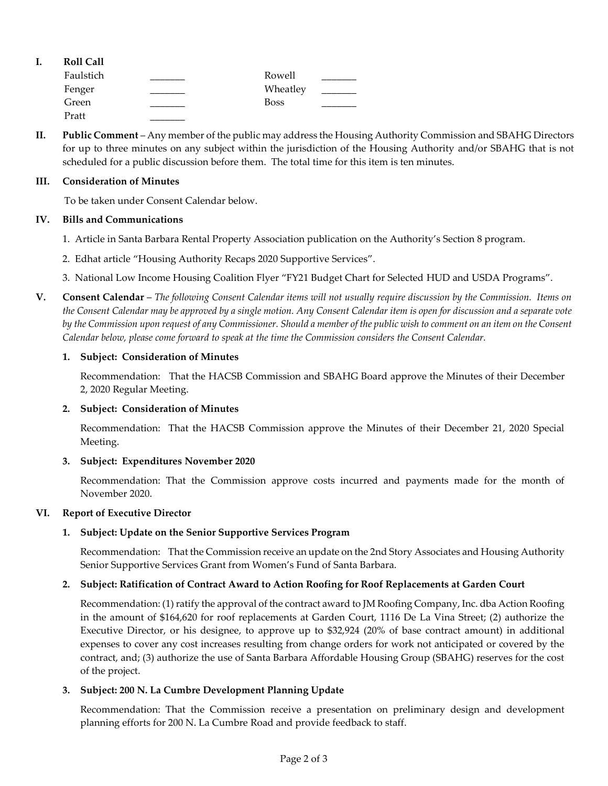| ı. | <b>Roll Call</b> |             |  |
|----|------------------|-------------|--|
|    | Faulstich        | Rowell      |  |
|    | Fenger           | Wheatley    |  |
|    | Green            | <b>Boss</b> |  |
|    | Pratt            |             |  |

**II. Public Comment** – Any member of the public may address the Housing Authority Commission and SBAHG Directors for up to three minutes on any subject within the jurisdiction of the Housing Authority and/or SBAHG that is not scheduled for a public discussion before them. The total time for this item is ten minutes.

#### **III. Consideration of Minutes**

To be taken under Consent Calendar below.

### **IV. Bills and Communications**

- [1. Article in Santa Barbara Rental Property Association publication](https://hacsb.org/download/meetings_2021/items/january/Item-IV.1_SBRPA-Article-HCV-Program.pdf) on the Authority's Section 8 program.
- 2. Edhat article "[Housing Authority Recaps 2020 Supportive Services](https://hacsb.org/download/meetings_2021/items/january/Item-IV.2_Housing-Authority-Recaps-2020.pdf)".
- [3. National Low Income Housing Coalition Flyer "FY21 Budget Chart for Selected](https://hacsb.org/download/meetings_2021/items/january/Item-IV.3_NLIHC-HUD-USDA-Budget-Chart.pdf) HUD and USDA Programs".
- **V. Consent Calendar** *The following Consent Calendar items will not usually require discussion by the Commission. Items on the Consent Calendar may be approved by a single motion. Any Consent Calendar item is open for discussion and a separate vote by the Commission upon request of any Commissioner. Should a member of the public wish to comment on an item on the Consent Calendar below, please come forward to speak at the time the Commission considers the Consent Calendar.*

### **1. Subject: Consideration of Minutes**

[Recommendation: That the HACSB Commission](https://hacsb.org/download/meetings_2021/items/january/Item-V.1_MINUTES-12-02-2020.pdf) and SBAHG Board approve the Minutes of their December 2, 2020 Regular Meeting.

### **2. Subject: Consideration of Minutes**

[Recommendation: That the HACSB Commission approve the Minutes of their December 21, 2020 Special](https://hacsb.org/download/meetings_2021/items/january/Item-V.2_MINUTES-12-21-2020_Special-Meeting.pdf)  Meeting.

### **3. Subject: Expenditures November 2020**

[Recommendation: That the Commission approve costs incurred and payments made for the month of](https://hacsb.org/download/meetings_2021/items/january/Item-V.3.pdf)  November 2020.

### **VI. Report of Executive Director**

### **1. Subject: Update on the Senior Supportive Services Program**

[Recommendation: That the Commission receive an update on the 2nd Story Associates and Housing Authority](https://hacsb.org/download/meetings_2021/items/january/Item-VI.1_Womens-Fund-Update.pdf)  Senior Supportive Services Grant from Women's Fund of Santa Barbara.

### **2. Subject: Ratification of Contract Award to Action Roofing for Roof Replacements at Garden Court**

Recommendation: (1) ratify the approval of the contract award to JM Roofing Company, Inc. dba Action Roofing in the amount of \$164,620 for roof replacements at Garden Court, 1116 De La Vina Street; (2) authorize the [Executive Director, or his designee, to approve up to \\$32,924 \(20% of base contract amount\) in additional](https://hacsb.org/download/meetings_2021/items/january/Item-VI.2_Garden-Court-Roof-Replacement-Ratification.pdf)  expenses to cover any cost increases resulting from change orders for work not anticipated or covered by the contract, and; (3) authorize the use of Santa Barbara Affordable Housing Group (SBAHG) reserves for the cost of the project.

### **3. Subject: 200 N. La Cumbre Development Planning Update**

Recommendation: That the Commission receive a presentation on preliminary design and development planning efforts for 200 N. La Cumbre Road and provide feedback to staff.